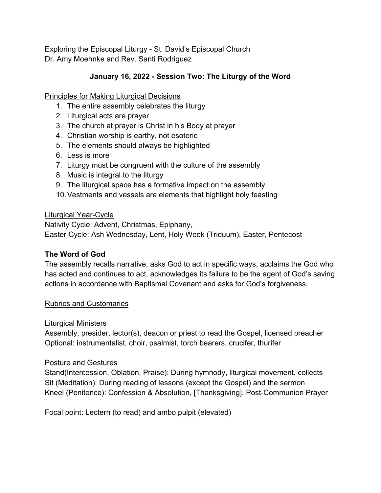Exploring the Episcopal Liturgy - St. David's Episcopal Church Dr. Amy Moehnke and Rev. Santi Rodriguez

# **January 16, 2022 - Session Two: The Liturgy of the Word**

Principles for Making Liturgical Decisions

- 1. The entire assembly celebrates the liturgy
- 2. Liturgical acts are prayer
- 3. The church at prayer is Christ in his Body at prayer
- 4. Christian worship is earthy, not esoteric
- 5. The elements should always be highlighted
- 6. Less is more
- 7. Liturgy must be congruent with the culture of the assembly
- 8. Music is integral to the liturgy
- 9. The liturgical space has a formative impact on the assembly
- 10.Vestments and vessels are elements that highlight holy feasting

## Liturgical Year-Cycle

Nativity Cycle: Advent, Christmas, Epiphany, Easter Cycle: Ash Wednesday, Lent, Holy Week (Triduum), Easter, Pentecost

## **The Word of God**

The assembly recalls narrative, asks God to act in specific ways, acclaims the God who has acted and continues to act, acknowledges its failure to be the agent of God's saving actions in accordance with Baptismal Covenant and asks for God's forgiveness.

### Rubrics and Customaries

### Liturgical Ministers

Assembly, presider, lector(s), deacon or priest to read the Gospel, licensed preacher Optional: instrumentalist, choir, psalmist, torch bearers, crucifer, thurifer

### Posture and Gestures

Stand(Intercession, Oblation, Praise): During hymnody, liturgical movement, collects Sit (Meditation): During reading of lessons (except the Gospel) and the sermon Kneel (Penitence): Confession & Absolution, [Thanksgiving], Post-Communion Prayer

Focal point: Lectern (to read) and ambo pulpit (elevated)